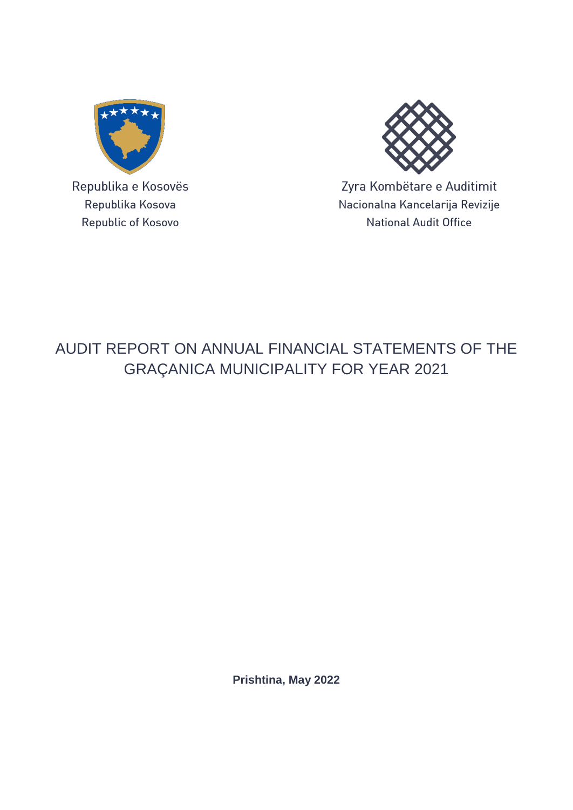

Republika e Kosovës Republika Kosova Republic of Kosovo



Zyra Kombëtare e Auditimit Nacionalna Kancelarija Revizije **National Audit Office** 

# AUDIT REPORT ON ANNUAL FINANCIAL STATEMENTS OF THE GRAÇANICA MUNICIPALITY FOR YEAR 2021

**Prishtina, May 2022**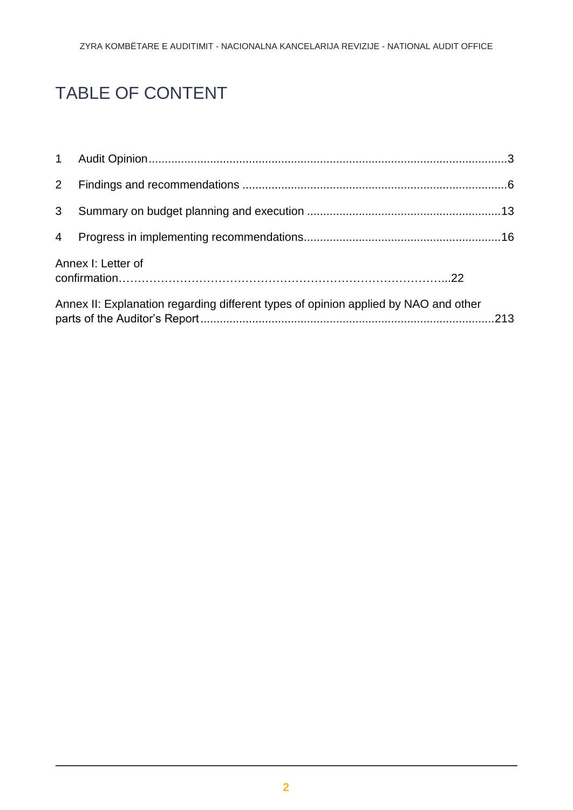# TABLE OF CONTENT

| 3 <sup>1</sup> |                                                                                     |  |
|----------------|-------------------------------------------------------------------------------------|--|
|                |                                                                                     |  |
|                | Annex I: Letter of                                                                  |  |
|                | Annex II: Explanation regarding different types of opinion applied by NAO and other |  |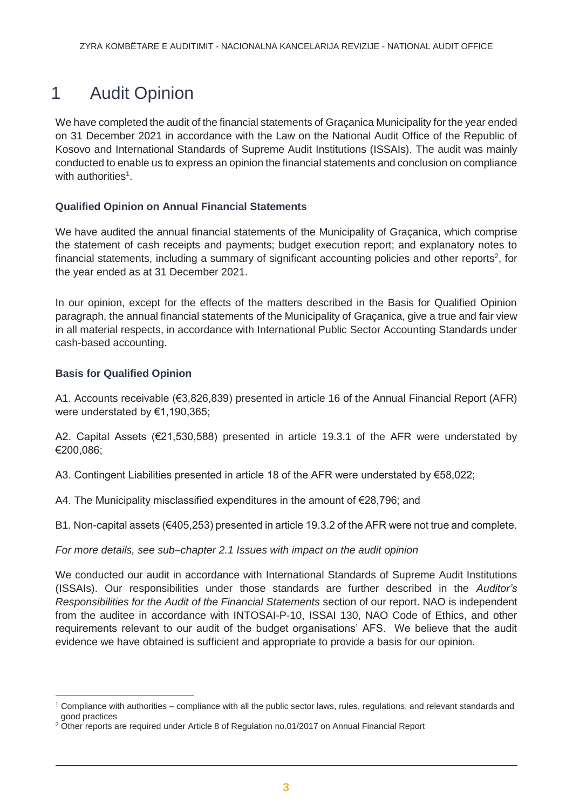# <span id="page-2-0"></span>1 Audit Opinion

We have completed the audit of the financial statements of Graçanica Municipality for the year ended on 31 December 2021 in accordance with the Law on the National Audit Office of the Republic of Kosovo and International Standards of Supreme Audit Institutions (ISSAIs). The audit was mainly conducted to enable us to express an opinion the financial statements and conclusion on compliance with authorities<sup>1</sup>.

#### **Qualified Opinion on Annual Financial Statements**

We have audited the annual financial statements of the Municipality of Graçanica, which comprise the statement of cash receipts and payments; budget execution report; and explanatory notes to financial statements, including a summary of significant accounting policies and other reports<sup>2</sup>, for the year ended as at 31 December 2021.

In our opinion, except for the effects of the matters described in the Basis for Qualified Opinion paragraph, the annual financial statements of the Municipality of Graçanica, give a true and fair view in all material respects, in accordance with International Public Sector Accounting Standards under cash-based accounting.

#### **Basis for Qualified Opinion**

 $\overline{a}$ 

A1. Accounts receivable (€3,826,839) presented in article 16 of the Annual Financial Report (AFR) were understated by €1,190,365;

A2. Capital Assets (€21,530,588) presented in article 19.3.1 of the AFR were understated by €200,086;

A3. Contingent Liabilities presented in article 18 of the AFR were understated by €58,022;

A4. The Municipality misclassified expenditures in the amount of €28,796; and

B1. Non-capital assets (€405,253) presented in article 19.3.2 of the AFR were not true and complete.

*For more details, see sub–chapter 2.1 Issues with impact on the audit opinion*

We conducted our audit in accordance with International Standards of Supreme Audit Institutions (ISSAIs). Our responsibilities under those standards are further described in the *Auditor's Responsibilities for the Audit of the Financial Statements* section of our report. NAO is independent from the auditee in accordance with INTOSAI-P-10, ISSAI 130, NAO Code of Ethics, and other requirements relevant to our audit of the budget organisations' AFS. We believe that the audit evidence we have obtained is sufficient and appropriate to provide a basis for our opinion.

<sup>1</sup> Compliance with authorities – compliance with all the public sector laws, rules, regulations, and relevant standards and good practices

<sup>&</sup>lt;sup>2</sup> Other reports are required under Article 8 of Regulation no.01/2017 on Annual Financial Report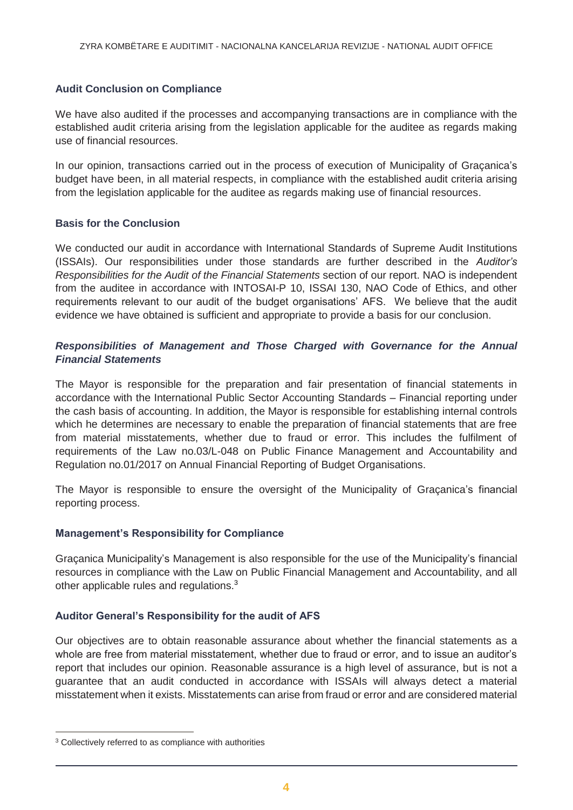#### **Audit Conclusion on Compliance**

We have also audited if the processes and accompanying transactions are in compliance with the established audit criteria arising from the legislation applicable for the auditee as regards making use of financial resources.

In our opinion, transactions carried out in the process of execution of Municipality of Graçanica's budget have been, in all material respects, in compliance with the established audit criteria arising from the legislation applicable for the auditee as regards making use of financial resources.

#### **Basis for the Conclusion**

We conducted our audit in accordance with International Standards of Supreme Audit Institutions (ISSAIs). Our responsibilities under those standards are further described in the *Auditor's Responsibilities for the Audit of the Financial Statements* section of our report. NAO is independent from the auditee in accordance with INTOSAI-P 10, ISSAI 130, NAO Code of Ethics, and other requirements relevant to our audit of the budget organisations' AFS. We believe that the audit evidence we have obtained is sufficient and appropriate to provide a basis for our conclusion.

#### *Responsibilities of Management and Those Charged with Governance for the Annual Financial Statements*

The Mayor is responsible for the preparation and fair presentation of financial statements in accordance with the International Public Sector Accounting Standards – Financial reporting under the cash basis of accounting. In addition, the Mayor is responsible for establishing internal controls which he determines are necessary to enable the preparation of financial statements that are free from material misstatements, whether due to fraud or error. This includes the fulfilment of requirements of the Law no.03/L-048 on Public Finance Management and Accountability and Regulation no.01/2017 on Annual Financial Reporting of Budget Organisations.

The Mayor is responsible to ensure the oversight of the Municipality of Graçanica's financial reporting process.

#### **Management's Responsibility for Compliance**

Graçanica Municipality's Management is also responsible for the use of the Municipality's financial resources in compliance with the Law on Public Financial Management and Accountability, and all other applicable rules and regulations.<sup>3</sup>

#### **Auditor General's Responsibility for the audit of AFS**

Our objectives are to obtain reasonable assurance about whether the financial statements as a whole are free from material misstatement, whether due to fraud or error, and to issue an auditor's report that includes our opinion. Reasonable assurance is a high level of assurance, but is not a guarantee that an audit conducted in accordance with ISSAIs will always detect a material misstatement when it exists. Misstatements can arise from fraud or error and are considered material

 $\overline{a}$ 

<sup>&</sup>lt;sup>3</sup> Collectively referred to as compliance with authorities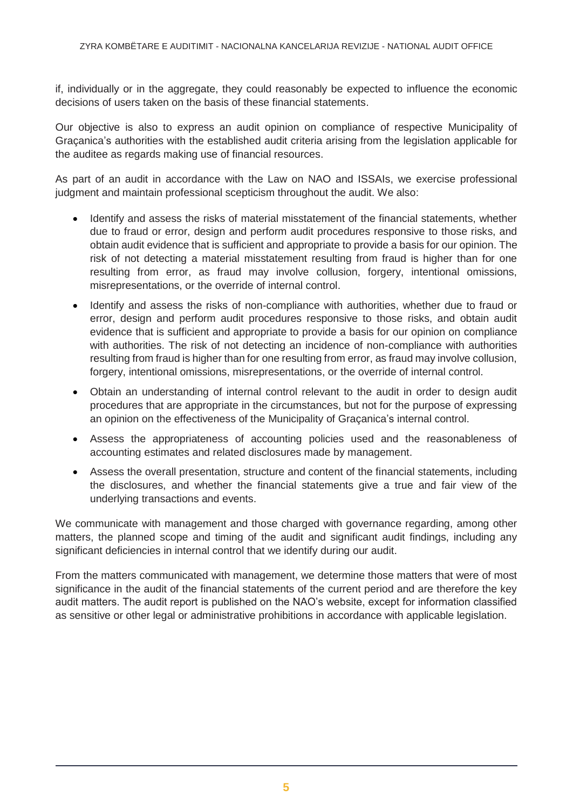if, individually or in the aggregate, they could reasonably be expected to influence the economic decisions of users taken on the basis of these financial statements.

Our objective is also to express an audit opinion on compliance of respective Municipality of Graçanica's authorities with the established audit criteria arising from the legislation applicable for the auditee as regards making use of financial resources.

As part of an audit in accordance with the Law on NAO and ISSAIs, we exercise professional judgment and maintain professional scepticism throughout the audit. We also:

- Identify and assess the risks of material misstatement of the financial statements, whether due to fraud or error, design and perform audit procedures responsive to those risks, and obtain audit evidence that is sufficient and appropriate to provide a basis for our opinion. The risk of not detecting a material misstatement resulting from fraud is higher than for one resulting from error, as fraud may involve collusion, forgery, intentional omissions, misrepresentations, or the override of internal control.
- Identify and assess the risks of non-compliance with authorities, whether due to fraud or error, design and perform audit procedures responsive to those risks, and obtain audit evidence that is sufficient and appropriate to provide a basis for our opinion on compliance with authorities. The risk of not detecting an incidence of non-compliance with authorities resulting from fraud is higher than for one resulting from error, as fraud may involve collusion, forgery, intentional omissions, misrepresentations, or the override of internal control.
- Obtain an understanding of internal control relevant to the audit in order to design audit procedures that are appropriate in the circumstances, but not for the purpose of expressing an opinion on the effectiveness of the Municipality of Graçanica's internal control.
- Assess the appropriateness of accounting policies used and the reasonableness of accounting estimates and related disclosures made by management.
- Assess the overall presentation, structure and content of the financial statements, including the disclosures, and whether the financial statements give a true and fair view of the underlying transactions and events.

We communicate with management and those charged with governance regarding, among other matters, the planned scope and timing of the audit and significant audit findings, including any significant deficiencies in internal control that we identify during our audit.

From the matters communicated with management, we determine those matters that were of most significance in the audit of the financial statements of the current period and are therefore the key audit matters. The audit report is published on the NAO's website, except for information classified as sensitive or other legal or administrative prohibitions in accordance with applicable legislation.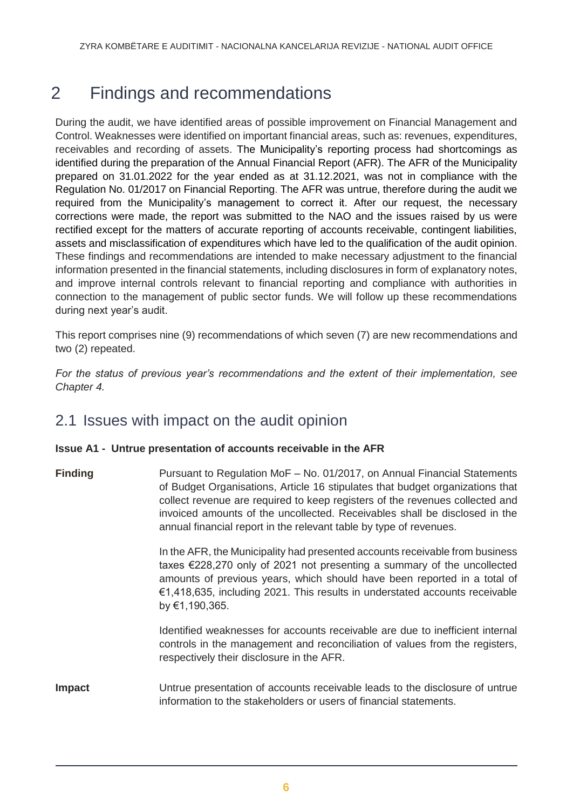# <span id="page-5-0"></span>2 Findings and recommendations

During the audit, we have identified areas of possible improvement on Financial Management and Control. Weaknesses were identified on important financial areas, such as: revenues, expenditures, receivables and recording of assets. The Municipality's reporting process had shortcomings as identified during the preparation of the Annual Financial Report (AFR). The AFR of the Municipality prepared on 31.01.2022 for the year ended as at 31.12.2021, was not in compliance with the Regulation No. 01/2017 on Financial Reporting. The AFR was untrue, therefore during the audit we required from the Municipality's management to correct it. After our request, the necessary corrections were made, the report was submitted to the NAO and the issues raised by us were rectified except for the matters of accurate reporting of accounts receivable, contingent liabilities, assets and misclassification of expenditures which have led to the qualification of the audit opinion. These findings and recommendations are intended to make necessary adjustment to the financial information presented in the financial statements, including disclosures in form of explanatory notes, and improve internal controls relevant to financial reporting and compliance with authorities in connection to the management of public sector funds. We will follow up these recommendations during next year's audit.

This report comprises nine (9) recommendations of which seven (7) are new recommendations and two (2) repeated.

*For the status of previous year's recommendations and the extent of their implementation, see Chapter 4.*

## 2.1 Issues with impact on the audit opinion

#### **Issue A1 - Untrue presentation of accounts receivable in the AFR**

**Finding** Pursuant to Regulation MoF – No. 01/2017, on Annual Financial Statements of Budget Organisations, Article 16 stipulates that budget organizations that collect revenue are required to keep registers of the revenues collected and invoiced amounts of the uncollected. Receivables shall be disclosed in the annual financial report in the relevant table by type of revenues.

> In the AFR, the Municipality had presented accounts receivable from business taxes €228,270 only of 2021 not presenting a summary of the uncollected amounts of previous years, which should have been reported in a total of €1,418,635, including 2021. This results in understated accounts receivable by €1,190,365.

> Identified weaknesses for accounts receivable are due to inefficient internal controls in the management and reconciliation of values from the registers, respectively their disclosure in the AFR.

**Impact** Untrue presentation of accounts receivable leads to the disclosure of untrue information to the stakeholders or users of financial statements.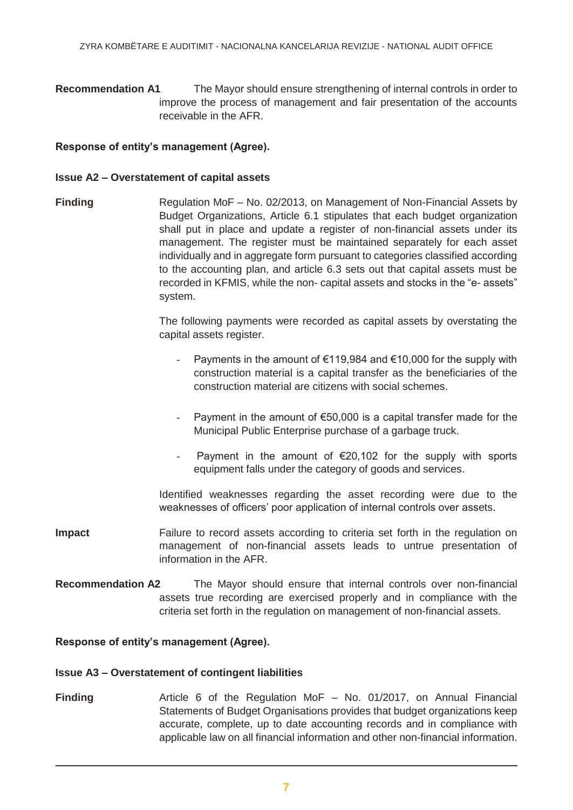**Recommendation A1** The Mayor should ensure strengthening of internal controls in order to improve the process of management and fair presentation of the accounts receivable in the AFR.

#### **Response of entity's management (Agree).**

#### **Issue A2 – Overstatement of capital assets**

**Finding** Regulation MoF – No. 02/2013, on Management of Non-Financial Assets by Budget Organizations, Article 6.1 stipulates that each budget organization shall put in place and update a register of non-financial assets under its management. The register must be maintained separately for each asset individually and in aggregate form pursuant to categories classified according to the accounting plan, and article 6.3 sets out that capital assets must be recorded in KFMIS, while the non- capital assets and stocks in the "e- assets" system.

> The following payments were recorded as capital assets by overstating the capital assets register.

- Payments in the amount of  $€119,984$  and  $€10,000$  for the supply with construction material is a capital transfer as the beneficiaries of the construction material are citizens with social schemes.
- Payment in the amount of  $\epsilon$ 50,000 is a capital transfer made for the Municipal Public Enterprise purchase of a garbage truck.
- Payment in the amount of  $\epsilon$ 20,102 for the supply with sports equipment falls under the category of goods and services.

Identified weaknesses regarding the asset recording were due to the weaknesses of officers' poor application of internal controls over assets.

- **Impact** Failure to record assets according to criteria set forth in the regulation on management of non-financial assets leads to untrue presentation of information in the AFR.
- **Recommendation A2** The Mayor should ensure that internal controls over non-financial assets true recording are exercised properly and in compliance with the criteria set forth in the regulation on management of non-financial assets.

#### **Response of entity's management (Agree).**

#### **Issue A3 – Overstatement of contingent liabilities**

**Finding Article 6 of the Regulation MoF – No. 01/2017, on Annual Financial** *Financial* Statements of Budget Organisations provides that budget organizations keep accurate, complete, up to date accounting records and in compliance with applicable law on all financial information and other non-financial information.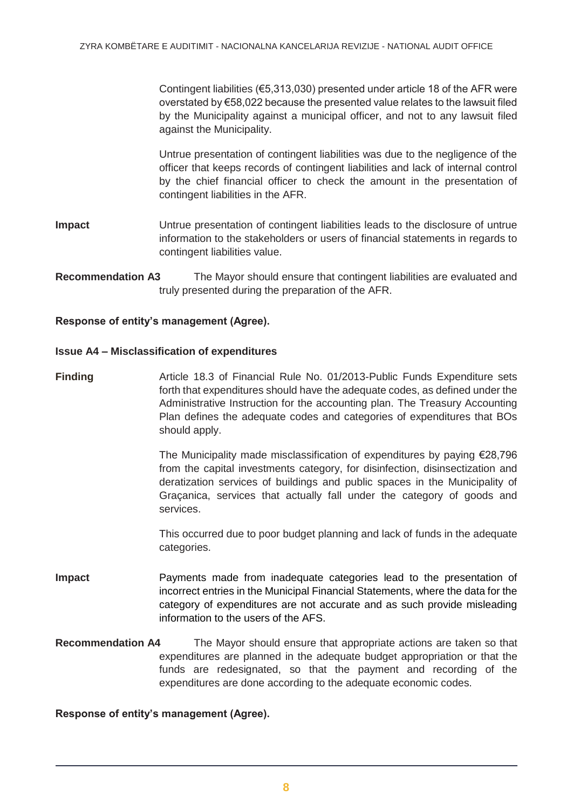Contingent liabilities (€5,313,030) presented under article 18 of the AFR were overstated by €58,022 because the presented value relates to the lawsuit filed by the Municipality against a municipal officer, and not to any lawsuit filed against the Municipality.

Untrue presentation of contingent liabilities was due to the negligence of the officer that keeps records of contingent liabilities and lack of internal control by the chief financial officer to check the amount in the presentation of contingent liabilities in the AFR.

- **Impact** Untrue presentation of contingent liabilities leads to the disclosure of untrue information to the stakeholders or users of financial statements in regards to contingent liabilities value.
- **Recommendation A3** The Mayor should ensure that contingent liabilities are evaluated and truly presented during the preparation of the AFR.

#### **Response of entity's management (Agree).**

#### **Issue A4 – Misclassification of expenditures**

**Finding** Article 18.3 of Financial Rule No. 01/2013-Public Funds Expenditure sets forth that expenditures should have the adequate codes, as defined under the Administrative Instruction for the accounting plan. The Treasury Accounting Plan defines the adequate codes and categories of expenditures that BOs should apply.

> The Municipality made misclassification of expenditures by paying €28,796 from the capital investments category, for disinfection, disinsectization and deratization services of buildings and public spaces in the Municipality of Graçanica, services that actually fall under the category of goods and services.

> This occurred due to poor budget planning and lack of funds in the adequate categories.

- **Impact** Payments made from inadequate categories lead to the presentation of incorrect entries in the Municipal Financial Statements, where the data for the category of expenditures are not accurate and as such provide misleading information to the users of the AFS.
- **Recommendation A4** The Mayor should ensure that appropriate actions are taken so that expenditures are planned in the adequate budget appropriation or that the funds are redesignated, so that the payment and recording of the expenditures are done according to the adequate economic codes.

#### **Response of entity's management (Agree).**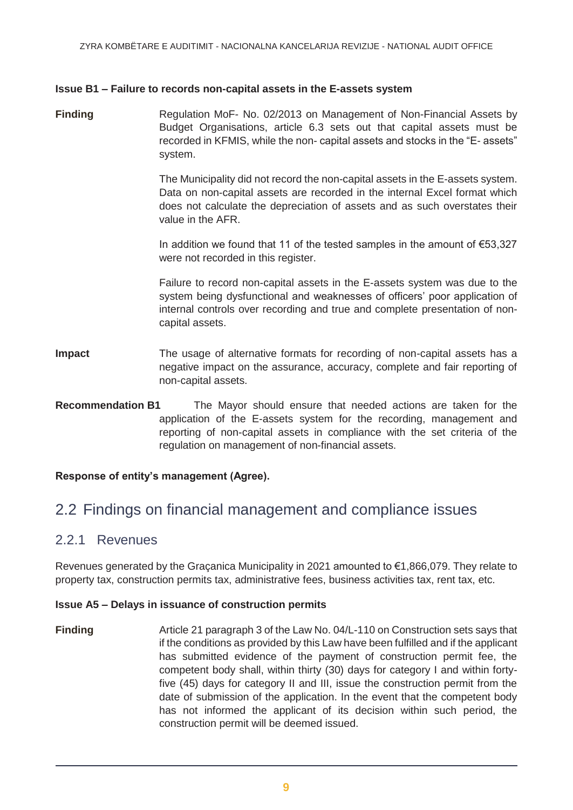#### **Issue B1 – Failure to records non-capital assets in the E-assets system**

**Finding** Regulation MoF- No. 02/2013 on Management of Non-Financial Assets by Budget Organisations, article 6.3 sets out that capital assets must be recorded in KFMIS, while the non- capital assets and stocks in the "E- assets" system.

> The Municipality did not record the non-capital assets in the E-assets system. Data on non-capital assets are recorded in the internal Excel format which does not calculate the depreciation of assets and as such overstates their value in the AFR.

> In addition we found that 11 of the tested samples in the amount of  $€53,327$ were not recorded in this register.

> Failure to record non-capital assets in the E-assets system was due to the system being dysfunctional and weaknesses of officers' poor application of internal controls over recording and true and complete presentation of noncapital assets.

- **Impact** The usage of alternative formats for recording of non-capital assets has a negative impact on the assurance, accuracy, complete and fair reporting of non-capital assets.
- **Recommendation B1** The Mayor should ensure that needed actions are taken for the application of the E-assets system for the recording, management and reporting of non-capital assets in compliance with the set criteria of the regulation on management of non-financial assets.

#### **Response of entity's management (Agree).**

## 2.2 Findings on financial management and compliance issues

#### 2.2.1 Revenues

Revenues generated by the Graçanica Municipality in 2021 amounted to €1,866,079. They relate to property tax, construction permits tax, administrative fees, business activities tax, rent tax, etc.

#### **Issue A5 – Delays in issuance of construction permits**

**Finding** Article 21 paragraph 3 of the Law No. 04/L-110 on Construction sets says that if the conditions as provided by this Law have been fulfilled and if the applicant has submitted evidence of the payment of construction permit fee, the competent body shall, within thirty (30) days for category I and within fortyfive (45) days for category II and III, issue the construction permit from the date of submission of the application. In the event that the competent body has not informed the applicant of its decision within such period, the construction permit will be deemed issued.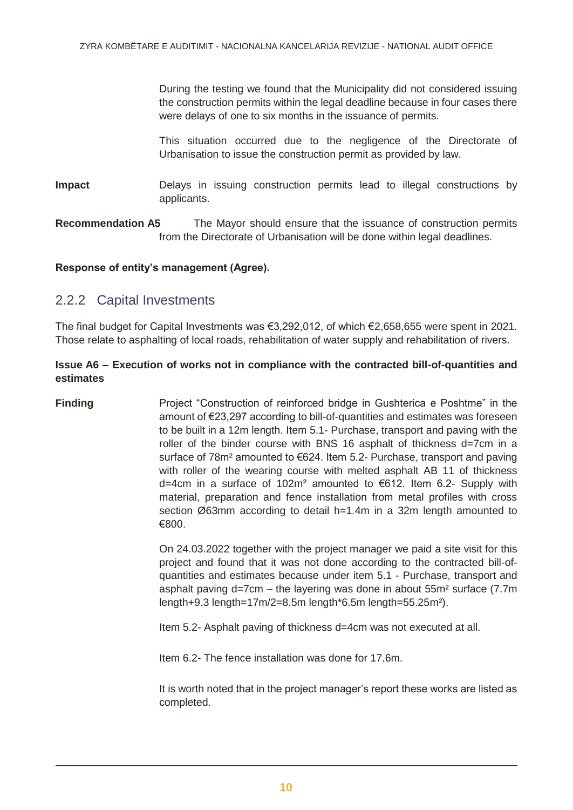During the testing we found that the Municipality did not considered issuing the construction permits within the legal deadline because in four cases there were delays of one to six months in the issuance of permits.

This situation occurred due to the negligence of the Directorate of Urbanisation to issue the construction permit as provided by law.

**Impact** Delays in issuing construction permits lead to illegal constructions by applicants.

**Recommendation A5** The Mayor should ensure that the issuance of construction permits from the Directorate of Urbanisation will be done within legal deadlines.

#### **Response of entity's management (Agree).**

#### 2.2.2 Capital Investments

The final budget for Capital Investments was €3,292,012, of which €2,658,655 were spent in 2021. Those relate to asphalting of local roads, rehabilitation of water supply and rehabilitation of rivers.

#### **Issue A6 – Execution of works not in compliance with the contracted bill-of-quantities and estimates**

**Finding** Project "Construction of reinforced bridge in Gushterica e Poshtme" in the amount of €23,297 according to bill-of-quantities and estimates was foreseen to be built in a 12m length. Item 5.1- Purchase, transport and paving with the roller of the binder course with BNS 16 asphalt of thickness d=7cm in a surface of 78m<sup>2</sup> amounted to €624. Item 5.2- Purchase, transport and paving with roller of the wearing course with melted asphalt AB 11 of thickness d=4cm in a surface of 102m² amounted to €612. Item 6.2- Supply with material, preparation and fence installation from metal profiles with cross section Ø63mm according to detail h=1.4m in a 32m length amounted to €800.

> On 24.03.2022 together with the project manager we paid a site visit for this project and found that it was not done according to the contracted bill-ofquantities and estimates because under item 5.1 - Purchase, transport and asphalt paving d=7cm – the layering was done in about 55m² surface (7.7m length+9.3 length=17m/2=8.5m length\*6.5m length=55.25m²).

Item 5.2- Asphalt paving of thickness d=4cm was not executed at all.

Item 6.2- The fence installation was done for 17.6m.

It is worth noted that in the project manager's report these works are listed as completed.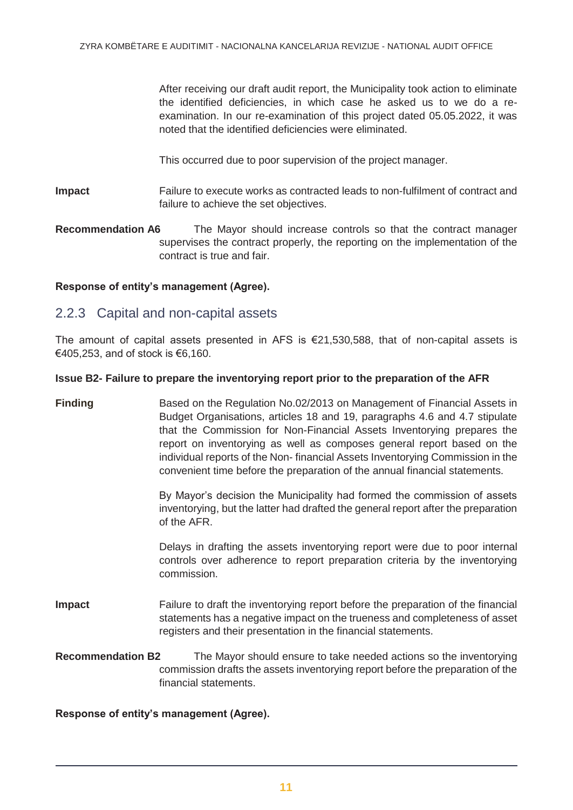After receiving our draft audit report, the Municipality took action to eliminate the identified deficiencies, in which case he asked us to we do a reexamination. In our re-examination of this project dated 05.05.2022, it was noted that the identified deficiencies were eliminated.

This occurred due to poor supervision of the project manager.

**Impact** Failure to execute works as contracted leads to non-fulfilment of contract and failure to achieve the set objectives.

**Recommendation A6** The Mayor should increase controls so that the contract manager supervises the contract properly, the reporting on the implementation of the contract is true and fair.

#### **Response of entity's management (Agree).**

#### 2.2.3 Capital and non-capital assets

The amount of capital assets presented in AFS is  $\epsilon$ 21,530,588, that of non-capital assets is €405,253, and of stock is €6,160.

#### **Issue B2- Failure to prepare the inventorying report prior to the preparation of the AFR**

**Finding Based on the Regulation No.02/2013 on Management of Financial Assets in** Budget Organisations, articles 18 and 19, paragraphs 4.6 and 4.7 stipulate that the Commission for Non-Financial Assets Inventorying prepares the report on inventorying as well as composes general report based on the individual reports of the Non- financial Assets Inventorying Commission in the convenient time before the preparation of the annual financial statements.

> By Mayor's decision the Municipality had formed the commission of assets inventorying, but the latter had drafted the general report after the preparation of the AFR.

> Delays in drafting the assets inventorying report were due to poor internal controls over adherence to report preparation criteria by the inventorying commission.

- **Impact** Failure to draft the inventorying report before the preparation of the financial statements has a negative impact on the trueness and completeness of asset registers and their presentation in the financial statements.
- **Recommendation B2** The Mayor should ensure to take needed actions so the inventorying commission drafts the assets inventorying report before the preparation of the financial statements.

#### **Response of entity's management (Agree).**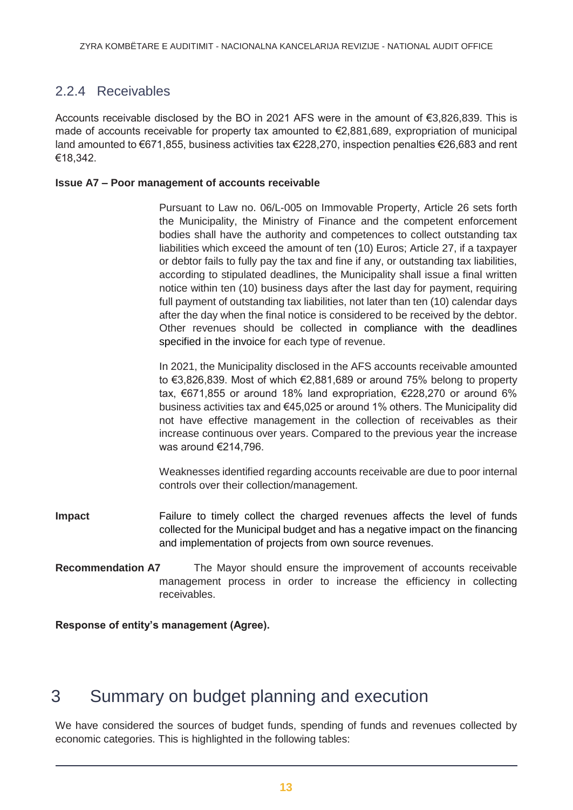### 2.2.4 Receivables

Accounts receivable disclosed by the BO in 2021 AFS were in the amount of €3,826,839. This is made of accounts receivable for property tax amounted to €2,881,689, expropriation of municipal land amounted to €671,855, business activities tax €228,270, inspection penalties €26,683 and rent €18,342.

#### **Issue A7 – Poor management of accounts receivable**

Pursuant to Law no. 06/L-005 on Immovable Property, Article 26 sets forth the Municipality, the Ministry of Finance and the competent enforcement bodies shall have the authority and competences to collect outstanding tax liabilities which exceed the amount of ten (10) Euros; Article 27, if a taxpayer or debtor fails to fully pay the tax and fine if any, or outstanding tax liabilities, according to stipulated deadlines, the Municipality shall issue a final written notice within ten (10) business days after the last day for payment, requiring full payment of outstanding tax liabilities, not later than ten (10) calendar days after the day when the final notice is considered to be received by the debtor. Other revenues should be collected in compliance with the deadlines specified in the invoice for each type of revenue.

In 2021, the Municipality disclosed in the AFS accounts receivable amounted to €3,826,839. Most of which €2,881,689 or around 75% belong to property tax, €671,855 or around 18% land expropriation, €228,270 or around 6% business activities tax and €45,025 or around 1% others. The Municipality did not have effective management in the collection of receivables as their increase continuous over years. Compared to the previous year the increase was around €214,796.

Weaknesses identified regarding accounts receivable are due to poor internal controls over their collection/management.

- **Impact** Failure to timely collect the charged revenues affects the level of funds collected for the Municipal budget and has a negative impact on the financing and implementation of projects from own source revenues.
- **Recommendation A7** The Mayor should ensure the improvement of accounts receivable management process in order to increase the efficiency in collecting receivables.

**Response of entity's management (Agree).**

## <span id="page-12-0"></span>3 Summary on budget planning and execution

We have considered the sources of budget funds, spending of funds and revenues collected by economic categories. This is highlighted in the following tables: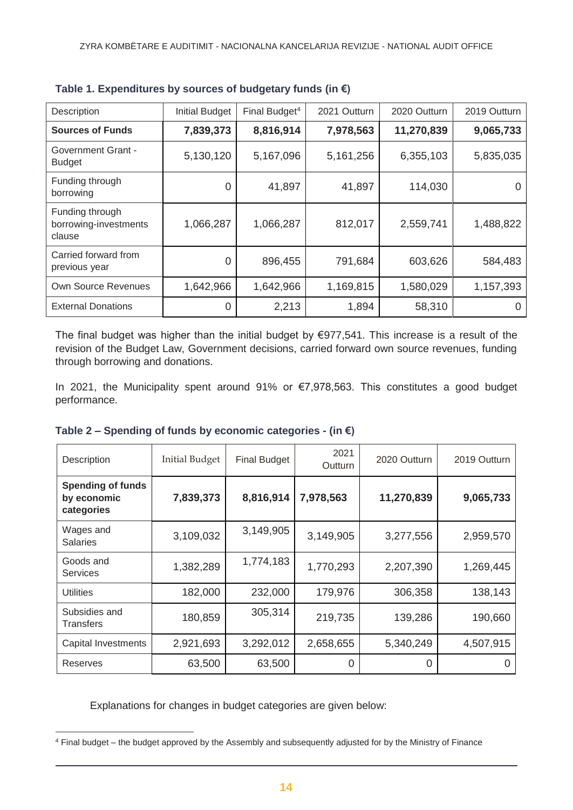| Description                                        | <b>Initial Budget</b> | Final Budget <sup>4</sup> | 2021 Outturn | 2020 Outturn | 2019 Outturn |
|----------------------------------------------------|-----------------------|---------------------------|--------------|--------------|--------------|
| <b>Sources of Funds</b>                            | 7,839,373             | 8,816,914                 | 7,978,563    | 11,270,839   | 9,065,733    |
| <b>Government Grant -</b><br><b>Budget</b>         | 5,130,120             | 5,167,096                 | 5,161,256    | 6,355,103    | 5,835,035    |
| Funding through<br>borrowing                       | 0                     | 41,897                    | 41,897       | 114,030      |              |
| Funding through<br>borrowing-investments<br>clause | 1,066,287             | 1,066,287                 | 812,017      | 2,559,741    | 1,488,822    |
| Carried forward from<br>previous year              | $\overline{0}$        | 896,455                   | 791,684      | 603,626      | 584,483      |
| <b>Own Source Revenues</b>                         | 1,642,966             | 1,642,966                 | 1,169,815    | 1,580,029    | 1,157,393    |
| <b>External Donations</b>                          | 0                     | 2,213                     | 1,894        | 58,310       |              |

| Table 1. Expenditures by sources of budgetary funds (in $\epsilon$ ) |  |  |  |
|----------------------------------------------------------------------|--|--|--|
|----------------------------------------------------------------------|--|--|--|

The final budget was higher than the initial budget by €977,541. This increase is a result of the revision of the Budget Law, Government decisions, carried forward own source revenues, funding through borrowing and donations.

In 2021, the Municipality spent around 91% or €7,978,563. This constitutes a good budget performance.

| Description                                           | <b>Initial Budget</b> | <b>Final Budget</b> | 2021<br>Outturn | 2020 Outturn | 2019 Outturn |
|-------------------------------------------------------|-----------------------|---------------------|-----------------|--------------|--------------|
| <b>Spending of funds</b><br>by economic<br>categories | 7,839,373             | 8,816,914           | 7,978,563       | 11,270,839   | 9,065,733    |
| Wages and<br><b>Salaries</b>                          | 3,109,032             | 3,149,905           | 3,149,905       | 3,277,556    | 2,959,570    |
| Goods and<br><b>Services</b>                          | 1,382,289             | 1,774,183           | 1,770,293       | 2,207,390    | 1,269,445    |
| <b>Utilities</b>                                      | 182,000               | 232,000             | 179,976         | 306,358      | 138,143      |
| Subsidies and<br>Transfers                            | 180,859               | 305,314             | 219,735         | 139,286      | 190,660      |
| Capital Investments                                   | 2,921,693             | 3,292,012           | 2,658,655       | 5,340,249    | 4,507,915    |
| Reserves                                              | 63,500                | 63,500              | 0               | 0            |              |

|  |  | Table 2 – Spending of funds by economic categories - (in $\epsilon$ ) |  |
|--|--|-----------------------------------------------------------------------|--|
|  |  |                                                                       |  |

Explanations for changes in budget categories are given below:

 $\overline{a}$ <sup>4</sup> Final budget – the budget approved by the Assembly and subsequently adjusted for by the Ministry of Finance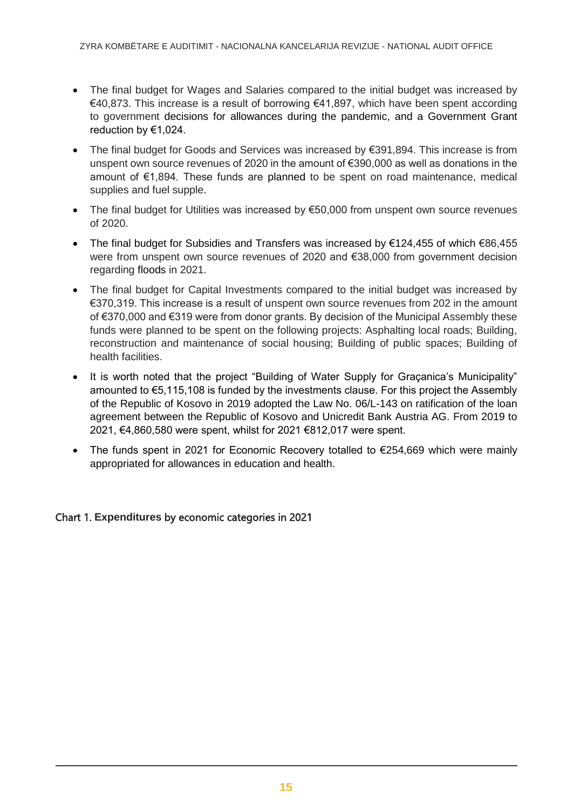- The final budget for Wages and Salaries compared to the initial budget was increased by €40,873. This increase is a result of borrowing €41,897, which have been spent according to government decisions for allowances during the pandemic, and a Government Grant reduction by €1,024.
- The final budget for Goods and Services was increased by €391,894. This increase is from unspent own source revenues of 2020 in the amount of €390,000 as well as donations in the amount of €1,894. These funds are planned to be spent on road maintenance, medical supplies and fuel supple.
- The final budget for Utilities was increased by €50,000 from unspent own source revenues of 2020.
- The final budget for Subsidies and Transfers was increased by €124,455 of which €86,455 were from unspent own source revenues of 2020 and €38,000 from government decision regarding floods in 2021.
- The final budget for Capital Investments compared to the initial budget was increased by €370,319. This increase is a result of unspent own source revenues from 202 in the amount of €370,000 and €319 were from donor grants. By decision of the Municipal Assembly these funds were planned to be spent on the following projects: Asphalting local roads; Building, reconstruction and maintenance of social housing; Building of public spaces; Building of health facilities.
- It is worth noted that the project "Building of Water Supply for Graçanica's Municipality" amounted to €5,115,108 is funded by the investments clause. For this project the Assembly of the Republic of Kosovo in 2019 adopted the Law No. 06/L-143 on ratification of the loan agreement between the Republic of Kosovo and Unicredit Bank Austria AG. From 2019 to 2021, €4,860,580 were spent, whilst for 2021 €812,017 were spent.
- The funds spent in 2021 for Economic Recovery totalled to €254,669 which were mainly appropriated for allowances in education and health.

#### Chart 1. **Expenditures** by economic categories in 2021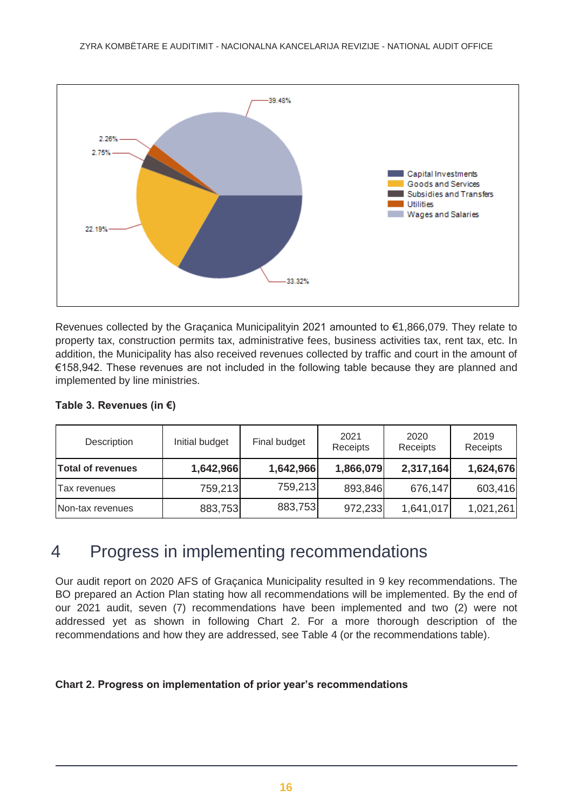

Revenues collected by the Graçanica Municipalityin 2021 amounted to €1,866,079. They relate to property tax, construction permits tax, administrative fees, business activities tax, rent tax, etc. In addition, the Municipality has also received revenues collected by traffic and court in the amount of €158,942. These revenues are not included in the following table because they are planned and implemented by line ministries.

| Description              | Initial budget | Final budget | 2021<br>Receipts | 2020<br>Receipts | 2019<br>Receipts |
|--------------------------|----------------|--------------|------------------|------------------|------------------|
| <b>Total of revenues</b> | 1,642,966      | 1,642,966    | 1,866,079        | 2,317,164        | 1,624,676        |
| Tax revenues             | 759,213        | 759,213      | 893,846          | 676,147          | 603,416          |
| Non-tax revenues         | 883,753        | 883,753      | 972,233          | 1,641,017        | 1,021,261        |

#### **Table 3. Revenues (in €)**

## <span id="page-15-0"></span>4 Progress in implementing recommendations

Our audit report on 2020 AFS of Graçanica Municipality resulted in 9 key recommendations. The BO prepared an Action Plan stating how all recommendations will be implemented. By the end of our 2021 audit, seven (7) recommendations have been implemented and two (2) were not addressed yet as shown in following Chart 2. For a more thorough description of the recommendations and how they are addressed, see Table 4 (or the recommendations table).

#### **Chart 2. Progress on implementation of prior year's recommendations**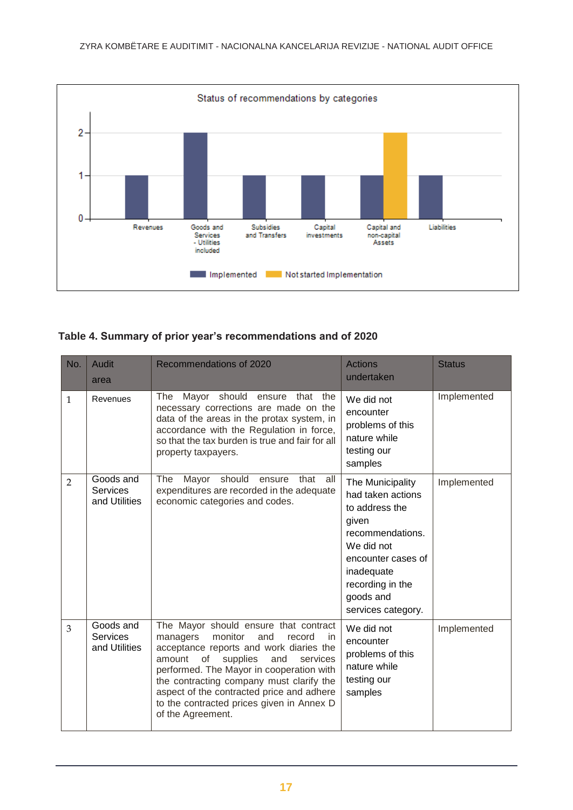

#### **Table 4. Summary of prior year's recommendations and of 2020**

| No.            | <b>Audit</b><br>area                          | <b>Recommendations of 2020</b>                                                                                                                                                                                                                                                                                                                                                       | <b>Actions</b><br>undertaken                                                                                                                                                                  | <b>Status</b> |
|----------------|-----------------------------------------------|--------------------------------------------------------------------------------------------------------------------------------------------------------------------------------------------------------------------------------------------------------------------------------------------------------------------------------------------------------------------------------------|-----------------------------------------------------------------------------------------------------------------------------------------------------------------------------------------------|---------------|
| $\mathbf{1}$   | Revenues                                      | Mayor<br>should<br>The<br>ensure<br>that the<br>necessary corrections are made on the<br>data of the areas in the protax system, in<br>accordance with the Regulation in force,<br>so that the tax burden is true and fair for all<br>property taxpayers.                                                                                                                            | We did not<br>encounter<br>problems of this<br>nature while<br>testing our<br>samples                                                                                                         | Implemented   |
| $\overline{2}$ | Goods and<br>Services<br>and Utilities        | The Mayor should ensure<br>that all<br>expenditures are recorded in the adequate<br>economic categories and codes.                                                                                                                                                                                                                                                                   | The Municipality<br>had taken actions<br>to address the<br>given<br>recommendations.<br>We did not<br>encounter cases of<br>inadequate<br>recording in the<br>goods and<br>services category. | Implemented   |
| 3              | Goods and<br><b>Services</b><br>and Utilities | The Mayor should ensure that contract<br>monitor<br>managers<br>and<br>record<br>in<br>acceptance reports and work diaries the<br>amount<br>of<br>supplies<br>and<br>services<br>performed. The Mayor in cooperation with<br>the contracting company must clarify the<br>aspect of the contracted price and adhere<br>to the contracted prices given in Annex D<br>of the Agreement. | We did not<br>encounter<br>problems of this<br>nature while<br>testing our<br>samples                                                                                                         | Implemented   |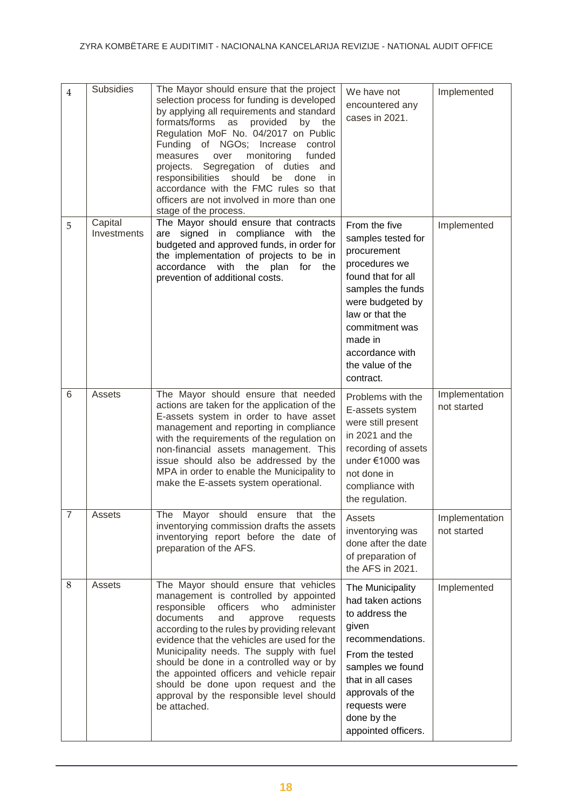| $\overline{4}$ | <b>Subsidies</b>       | The Mayor should ensure that the project<br>selection process for funding is developed<br>by applying all requirements and standard<br>formats/forms as provided<br>by the<br>Regulation MoF No. 04/2017 on Public<br>Funding of NGOs; Increase control<br>monitoring<br>measures<br>over<br>funded<br>projects. Segregation of duties and<br>responsibilities<br>should<br>be<br>done<br>in.<br>accordance with the FMC rules so that<br>officers are not involved in more than one<br>stage of the process.    | We have not<br>encountered any<br>cases in 2021.                                                                                                                                                                                       | Implemented                   |
|----------------|------------------------|------------------------------------------------------------------------------------------------------------------------------------------------------------------------------------------------------------------------------------------------------------------------------------------------------------------------------------------------------------------------------------------------------------------------------------------------------------------------------------------------------------------|----------------------------------------------------------------------------------------------------------------------------------------------------------------------------------------------------------------------------------------|-------------------------------|
| 5              | Capital<br>Investments | The Mayor should ensure that contracts<br>signed in compliance with the<br>are<br>budgeted and approved funds, in order for<br>the implementation of projects to be in<br>accordance with the plan for the<br>prevention of additional costs.                                                                                                                                                                                                                                                                    | From the five<br>samples tested for<br>procurement<br>procedures we<br>found that for all<br>samples the funds<br>were budgeted by<br>law or that the<br>commitment was<br>made in<br>accordance with<br>the value of the<br>contract. | Implemented                   |
| 6              | Assets                 | The Mayor should ensure that needed<br>actions are taken for the application of the<br>E-assets system in order to have asset<br>management and reporting in compliance<br>with the requirements of the regulation on<br>non-financial assets management. This<br>issue should also be addressed by the<br>MPA in order to enable the Municipality to<br>make the E-assets system operational.                                                                                                                   | Problems with the<br>E-assets system<br>were still present<br>in 2021 and the<br>recording of assets<br>under €1000 was<br>not done in<br>compliance with<br>the regulation.                                                           | Implementation<br>not started |
| $\overline{7}$ | Assets                 | The Mayor should ensure that the<br>inventorying commission drafts the assets<br>inventorying report before the date of<br>preparation of the AFS.                                                                                                                                                                                                                                                                                                                                                               | Assets<br>inventorying was<br>done after the date<br>of preparation of<br>the AFS in 2021.                                                                                                                                             | Implementation<br>not started |
| 8              | Assets                 | The Mayor should ensure that vehicles<br>management is controlled by appointed<br>responsible<br>officers<br>who<br>administer<br>documents<br>and<br>approve<br>requests<br>according to the rules by providing relevant<br>evidence that the vehicles are used for the<br>Municipality needs. The supply with fuel<br>should be done in a controlled way or by<br>the appointed officers and vehicle repair<br>should be done upon request and the<br>approval by the responsible level should<br>be attached. | The Municipality<br>had taken actions<br>to address the<br>given<br>recommendations.<br>From the tested<br>samples we found<br>that in all cases<br>approvals of the<br>requests were<br>done by the<br>appointed officers.            | Implemented                   |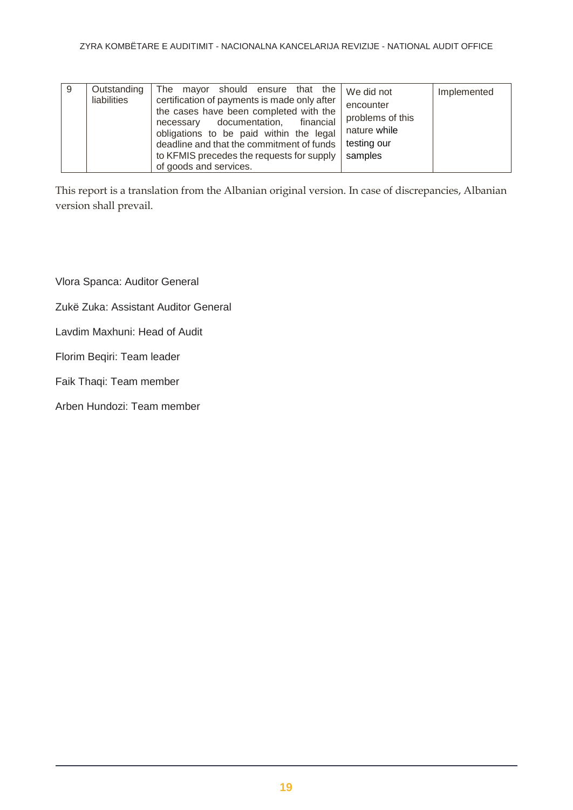| certification of payments is made only after<br>liabilities<br>encounter<br>the cases have been completed with the<br>problems of this<br>financial<br>documentation,<br>necessary<br>nature while<br>obligations to be paid within the legal<br>testing our<br>deadline and that the commitment of funds<br>to KFMIS precedes the requests for supply<br>samples<br>of goods and services. | Implemented |
|---------------------------------------------------------------------------------------------------------------------------------------------------------------------------------------------------------------------------------------------------------------------------------------------------------------------------------------------------------------------------------------------|-------------|
|---------------------------------------------------------------------------------------------------------------------------------------------------------------------------------------------------------------------------------------------------------------------------------------------------------------------------------------------------------------------------------------------|-------------|

This report is a translation from the Albanian original version. In case of discrepancies, Albanian version shall prevail.

Vlora Spanca: Auditor General

Zukë Zuka: Assistant Auditor General

Lavdim Maxhuni: Head of Audit

Florim Beqiri: Team leader

Faik Thaqi: Team member

Arben Hundozi: Team member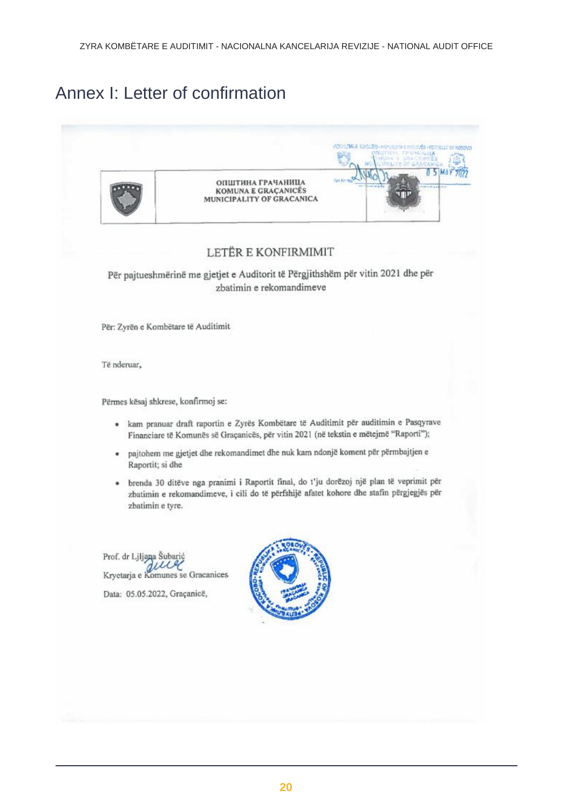# Annex I: Letter of confirmation

|                                                                              | VEH LING KOSSED - HE USLED E FACILITIES (REFUELD OF NOODK)<br>CRETTER FRAMARIA<br>NUMBER OF STREET<br>LITE OF GRACIANICA |
|------------------------------------------------------------------------------|--------------------------------------------------------------------------------------------------------------------------|
| ОПШТИНА ГРАЧАНИЦА<br><b>KOMUNA E GRAÇANICES</b><br>MUNICIPALITY OF GRACANICA |                                                                                                                          |

#### LETËR E KONFIRMIMIT

Për pajtueshmërinë me gjetjet e Auditorit të Përgjithshëm për vitin 2021 dhe për zbatimin e rekomandimeve

Për: Zyrën e Kombëtare të Auditimit

Të nderuar,

Përmes kësaj shkrese, konfirmoj se:

- · kam pranuar draft raportin e Zyrës Kombëtare të Auditimit për auditimin e Pasqyrave Financiare të Komunës së Graçanicës, për vitin 2021 (në tekstin e mëtejmë "Raporti");
- · pajtohem me gjetjet dhe rekomandimet dhe nuk kam ndonjë koment për përmbajtjen e Raportit; si dhe
- · brenda 30 ditëve nga pranimi i Raportit final, do t'ju dorëzoj një plan të veprimit për zbatimin e rekomandimeve, i cili do të përfshijë afatet kohore dhe stafin përgjegjës për zbatimin e tyre.

Prof. dr Ljljana Šubario w Kryetarja e Komunes se Gracanices Data: 05.05.2022, Graçanicë,

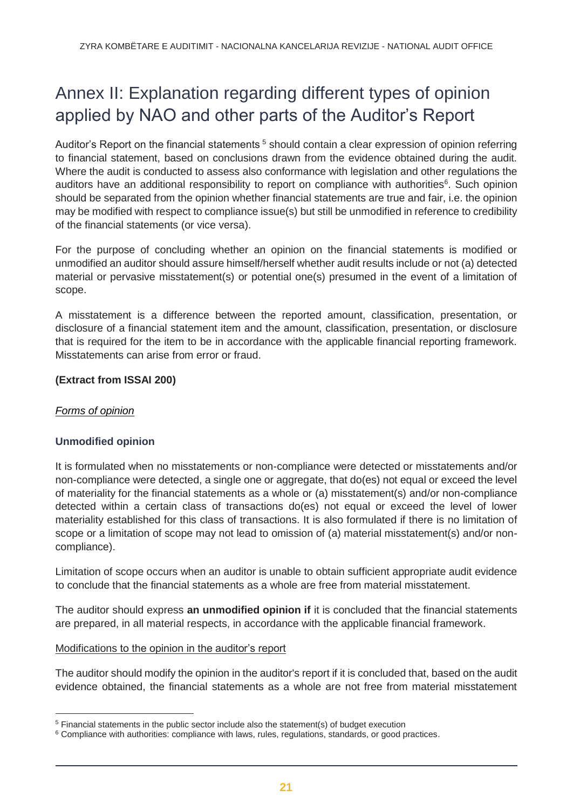# <span id="page-20-0"></span>Annex II: Explanation regarding different types of opinion applied by NAO and other parts of the Auditor's Report

Auditor's Report on the financial statements <sup>5</sup> should contain a clear expression of opinion referring to financial statement, based on conclusions drawn from the evidence obtained during the audit. Where the audit is conducted to assess also conformance with legislation and other regulations the auditors have an additional responsibility to report on compliance with authorities<sup>6</sup>. Such opinion should be separated from the opinion whether financial statements are true and fair, i.e. the opinion may be modified with respect to compliance issue(s) but still be unmodified in reference to credibility of the financial statements (or vice versa).

For the purpose of concluding whether an opinion on the financial statements is modified or unmodified an auditor should assure himself/herself whether audit results include or not (a) detected material or pervasive misstatement(s) or potential one(s) presumed in the event of a limitation of scope.

A misstatement is a difference between the reported amount, classification, presentation, or disclosure of a financial statement item and the amount, classification, presentation, or disclosure that is required for the item to be in accordance with the applicable financial reporting framework. Misstatements can arise from error or fraud.

#### **(Extract from ISSAI 200)**

#### *Forms of opinion*

 $\overline{a}$ 

#### **Unmodified opinion**

It is formulated when no misstatements or non-compliance were detected or misstatements and/or non-compliance were detected, a single one or aggregate, that do(es) not equal or exceed the level of materiality for the financial statements as a whole or (a) misstatement(s) and/or non-compliance detected within a certain class of transactions do(es) not equal or exceed the level of lower materiality established for this class of transactions. It is also formulated if there is no limitation of scope or a limitation of scope may not lead to omission of (a) material misstatement(s) and/or noncompliance).

Limitation of scope occurs when an auditor is unable to obtain sufficient appropriate audit evidence to conclude that the financial statements as a whole are free from material misstatement.

The auditor should express **an unmodified opinion if** it is concluded that the financial statements are prepared, in all material respects, in accordance with the applicable financial framework.

#### Modifications to the opinion in the auditor's report

The auditor should modify the opinion in the auditor's report if it is concluded that, based on the audit evidence obtained, the financial statements as a whole are not free from material misstatement

<sup>&</sup>lt;sup>5</sup> Financial statements in the public sector include also the statement(s) of budget execution

 $6$  Compliance with authorities: compliance with laws, rules, regulations, standards, or good practices.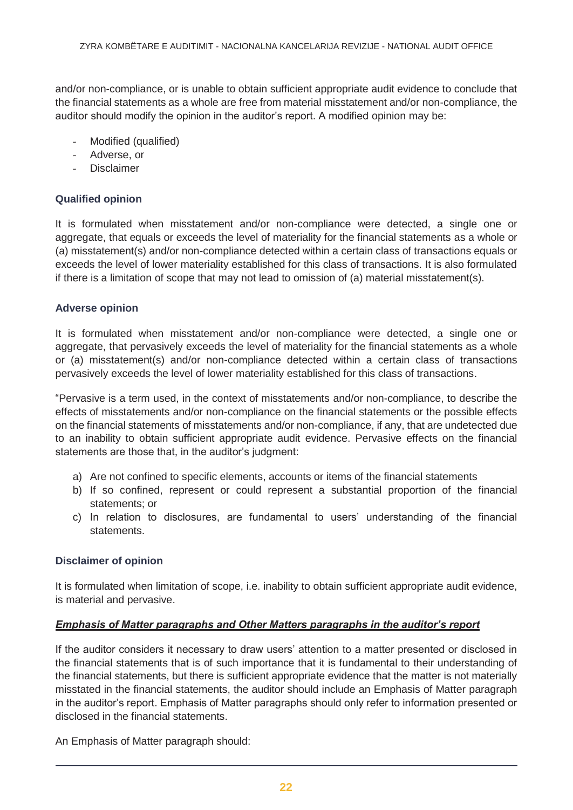and/or non-compliance, or is unable to obtain sufficient appropriate audit evidence to conclude that the financial statements as a whole are free from material misstatement and/or non-compliance, the auditor should modify the opinion in the auditor's report. A modified opinion may be:

- Modified (qualified)
- Adverse, or
- **Disclaimer**

#### **Qualified opinion**

It is formulated when misstatement and/or non-compliance were detected, a single one or aggregate, that equals or exceeds the level of materiality for the financial statements as a whole or (a) misstatement(s) and/or non-compliance detected within a certain class of transactions equals or exceeds the level of lower materiality established for this class of transactions. It is also formulated if there is a limitation of scope that may not lead to omission of (a) material misstatement(s).

#### **Adverse opinion**

It is formulated when misstatement and/or non-compliance were detected, a single one or aggregate, that pervasively exceeds the level of materiality for the financial statements as a whole or (a) misstatement(s) and/or non-compliance detected within a certain class of transactions pervasively exceeds the level of lower materiality established for this class of transactions.

"Pervasive is a term used, in the context of misstatements and/or non-compliance, to describe the effects of misstatements and/or non-compliance on the financial statements or the possible effects on the financial statements of misstatements and/or non-compliance, if any, that are undetected due to an inability to obtain sufficient appropriate audit evidence. Pervasive effects on the financial statements are those that, in the auditor's judgment:

- a) Are not confined to specific elements, accounts or items of the financial statements
- b) If so confined, represent or could represent a substantial proportion of the financial statements; or
- c) In relation to disclosures, are fundamental to users' understanding of the financial statements.

#### **Disclaimer of opinion**

It is formulated when limitation of scope, i.e. inability to obtain sufficient appropriate audit evidence, is material and pervasive.

#### *Emphasis of Matter paragraphs and Other Matters paragraphs in the auditor's report*

If the auditor considers it necessary to draw users' attention to a matter presented or disclosed in the financial statements that is of such importance that it is fundamental to their understanding of the financial statements, but there is sufficient appropriate evidence that the matter is not materially misstated in the financial statements, the auditor should include an Emphasis of Matter paragraph in the auditor's report. Emphasis of Matter paragraphs should only refer to information presented or disclosed in the financial statements.

An Emphasis of Matter paragraph should: